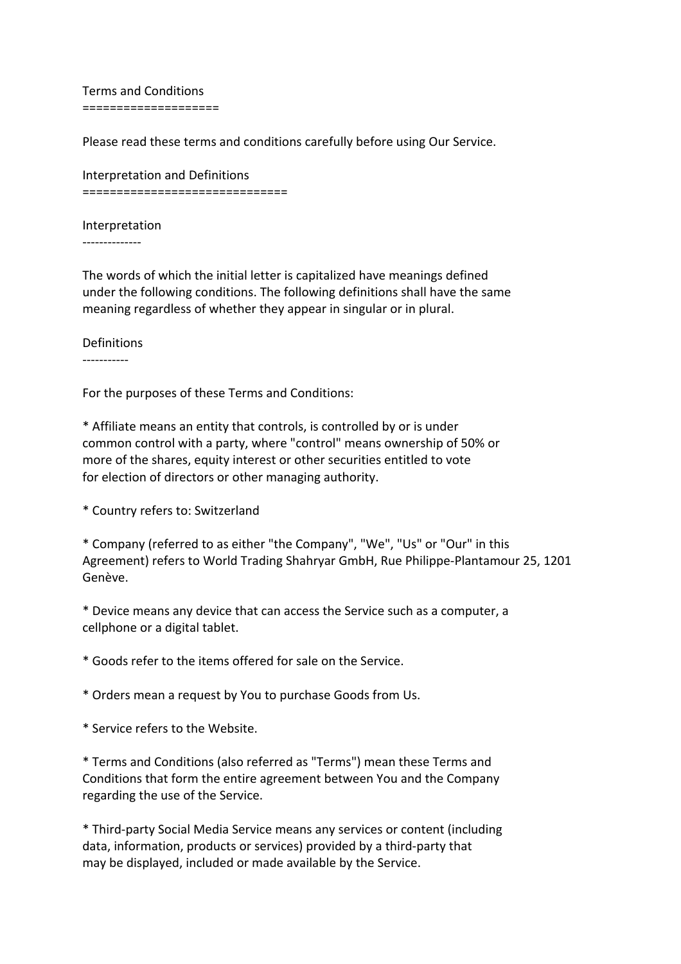Terms and Conditions ====================

Please read these terms and conditions carefully before using Our Service.

Interpretation and Definitions ==============================

Interpretation

--------------

The words of which the initial letter is capitalized have meanings defined under the following conditions. The following definitions shall have the same meaning regardless of whether they appear in singular or in plural.

Definitions -----------

For the purposes of these Terms and Conditions:

\* Affiliate means an entity that controls, is controlled by or is under common control with a party, where "control" means ownership of 50% or more of the shares, equity interest or other securities entitled to vote for election of directors or other managing authority.

\* Country refers to: Switzerland

\* Company (referred to as either "the Company", "We", "Us" or "Our" in this Agreement) refers to World Trading Shahryar GmbH, Rue Philippe-Plantamour 25, 1201 Genève.

\* Device means any device that can access the Service such as a computer, a cellphone or a digital tablet.

\* Goods refer to the items offered for sale on the Service.

\* Orders mean a request by You to purchase Goods from Us.

\* Service refers to the Website.

\* Terms and Conditions (also referred as "Terms") mean these Terms and Conditions that form the entire agreement between You and the Company regarding the use of the Service.

\* Third-party Social Media Service means any services or content (including data, information, products or services) provided by a third-party that may be displayed, included or made available by the Service.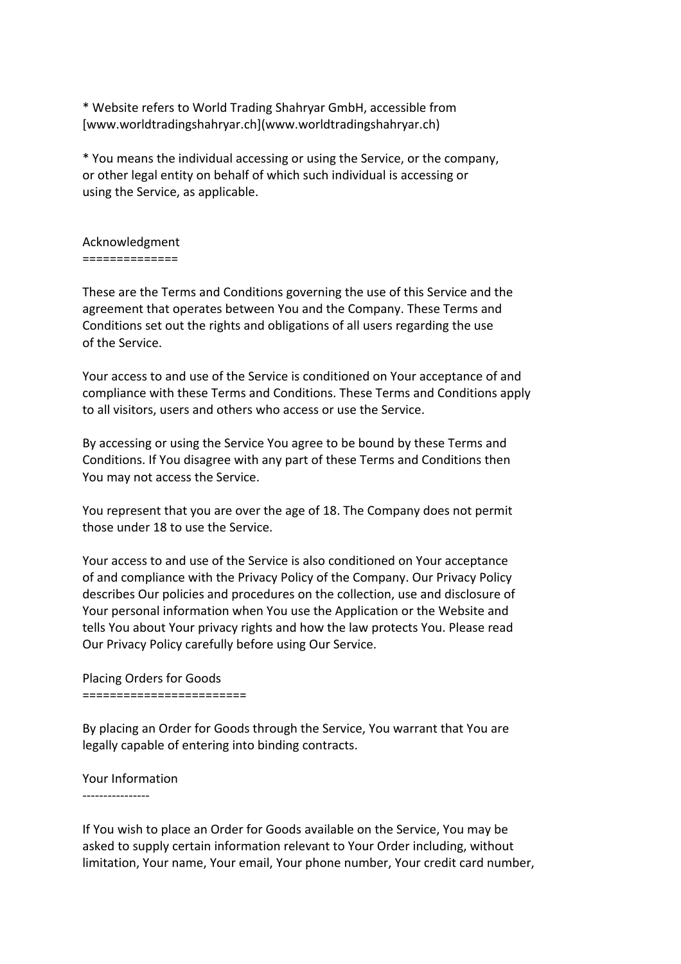\* Website refers to World Trading Shahryar GmbH, accessible from [www.worldtradingshahryar.ch](www.worldtradingshahryar.ch)

\* You means the individual accessing or using the Service, or the company, or other legal entity on behalf of which such individual is accessing or using the Service, as applicable.

## Acknowledgment ==============

These are the Terms and Conditions governing the use of this Service and the agreement that operates between You and the Company. These Terms and Conditions set out the rights and obligations of all users regarding the use of the Service.

Your access to and use of the Service is conditioned on Your acceptance of and compliance with these Terms and Conditions. These Terms and Conditions apply to all visitors, users and others who access or use the Service.

By accessing or using the Service You agree to be bound by these Terms and Conditions. If You disagree with any part of these Terms and Conditions then You may not access the Service.

You represent that you are over the age of 18. The Company does not permit those under 18 to use the Service.

Your access to and use of the Service is also conditioned on Your acceptance of and compliance with the Privacy Policy of the Company. Our Privacy Policy describes Our policies and procedures on the collection, use and disclosure of Your personal information when You use the Application or the Website and tells You about Your privacy rights and how the law protects You. Please read Our Privacy Policy carefully before using Our Service.

Placing Orders for Goods

========================

By placing an Order for Goods through the Service, You warrant that You are legally capable of entering into binding contracts.

## Your Information

----------------

If You wish to place an Order for Goods available on the Service, You may be asked to supply certain information relevant to Your Order including, without limitation, Your name, Your email, Your phone number, Your credit card number,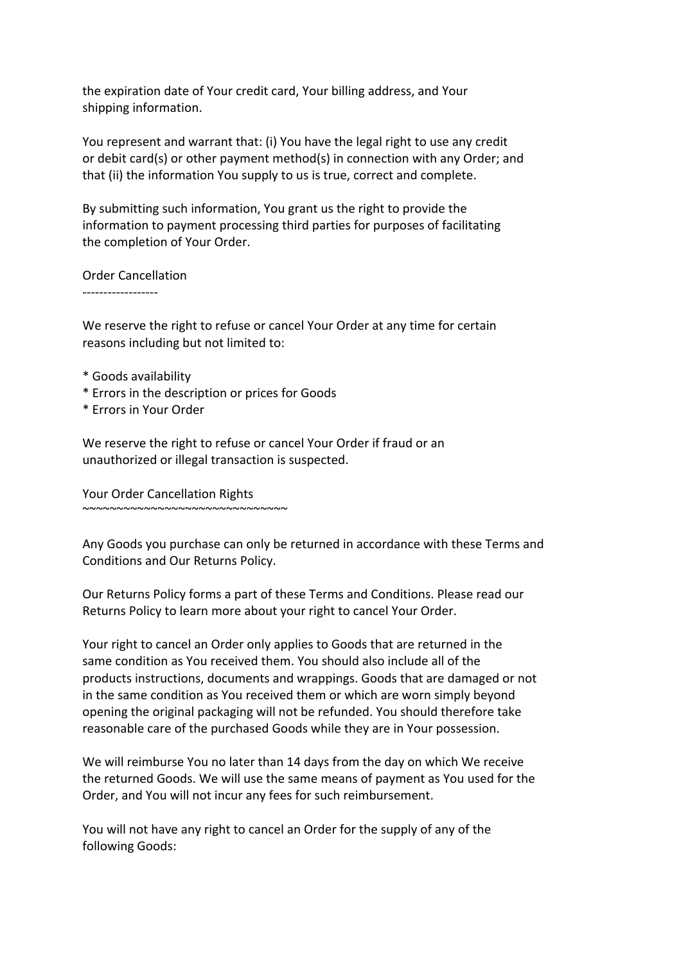the expiration date of Your credit card, Your billing address, and Your shipping information.

You represent and warrant that: (i) You have the legal right to use any credit or debit card(s) or other payment method(s) in connection with any Order; and that (ii) the information You supply to us is true, correct and complete.

By submitting such information, You grant us the right to provide the information to payment processing third parties for purposes of facilitating the completion of Your Order.

Order Cancellation

------------------

We reserve the right to refuse or cancel Your Order at any time for certain reasons including but not limited to:

- \* Goods availability
- \* Errors in the description or prices for Goods
- \* Errors in Your Order

We reserve the right to refuse or cancel Your Order if fraud or an unauthorized or illegal transaction is suspected.

Your Order Cancellation Rights

~~~~~~~~~~~~~~~~~~~~~~~~~~~~~~

Any Goods you purchase can only be returned in accordance with these Terms and Conditions and Our Returns Policy.

Our Returns Policy forms a part of these Terms and Conditions. Please read our Returns Policy to learn more about your right to cancel Your Order.

Your right to cancel an Order only applies to Goods that are returned in the same condition as You received them. You should also include all of the products instructions, documents and wrappings. Goods that are damaged or not in the same condition as You received them or which are worn simply beyond opening the original packaging will not be refunded. You should therefore take reasonable care of the purchased Goods while they are in Your possession.

We will reimburse You no later than 14 days from the day on which We receive the returned Goods. We will use the same means of payment as You used for the Order, and You will not incur any fees for such reimbursement.

You will not have any right to cancel an Order for the supply of any of the following Goods: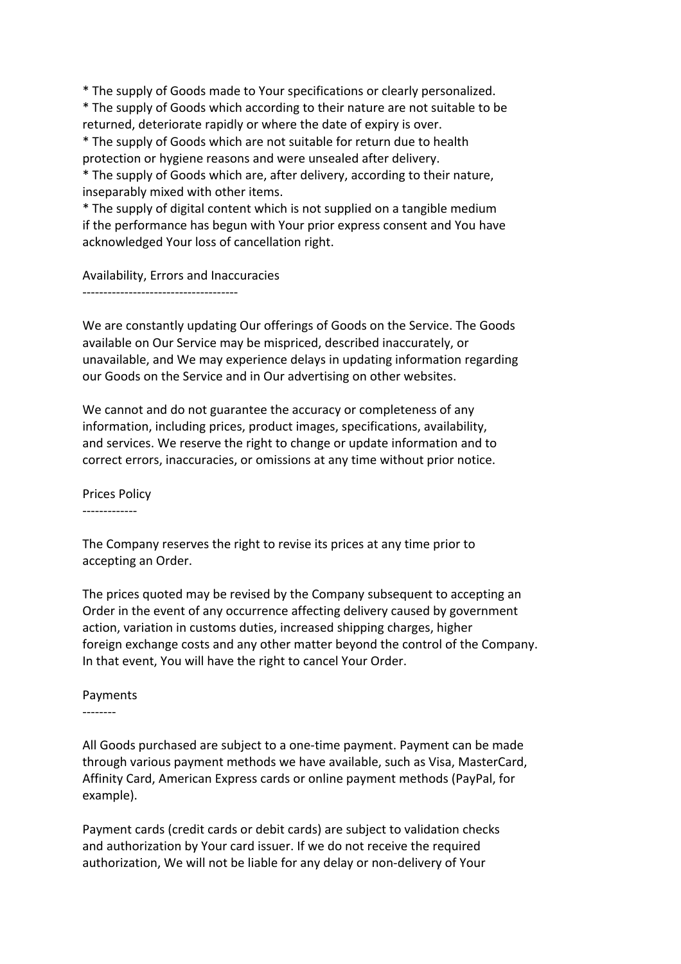\* The supply of Goods made to Your specifications or clearly personalized.

\* The supply of Goods which according to their nature are not suitable to be returned, deteriorate rapidly or where the date of expiry is over.

\* The supply of Goods which are not suitable for return due to health protection or hygiene reasons and were unsealed after delivery.

\* The supply of Goods which are, after delivery, according to their nature, inseparably mixed with other items.

\* The supply of digital content which is not supplied on a tangible medium if the performance has begun with Your prior express consent and You have acknowledged Your loss of cancellation right.

Availability, Errors and Inaccuracies

-------------------------------------

We are constantly updating Our offerings of Goods on the Service. The Goods available on Our Service may be mispriced, described inaccurately, or unavailable, and We may experience delays in updating information regarding our Goods on the Service and in Our advertising on other websites.

We cannot and do not guarantee the accuracy or completeness of any information, including prices, product images, specifications, availability, and services. We reserve the right to change or update information and to correct errors, inaccuracies, or omissions at any time without prior notice.

Prices Policy

-------------

The Company reserves the right to revise its prices at any time prior to accepting an Order.

The prices quoted may be revised by the Company subsequent to accepting an Order in the event of any occurrence affecting delivery caused by government action, variation in customs duties, increased shipping charges, higher foreign exchange costs and any other matter beyond the control of the Company. In that event, You will have the right to cancel Your Order.

## Payments

--------

All Goods purchased are subject to a one-time payment. Payment can be made through various payment methods we have available, such as Visa, MasterCard, Affinity Card, American Express cards or online payment methods (PayPal, for example).

Payment cards (credit cards or debit cards) are subject to validation checks and authorization by Your card issuer. If we do not receive the required authorization, We will not be liable for any delay or non-delivery of Your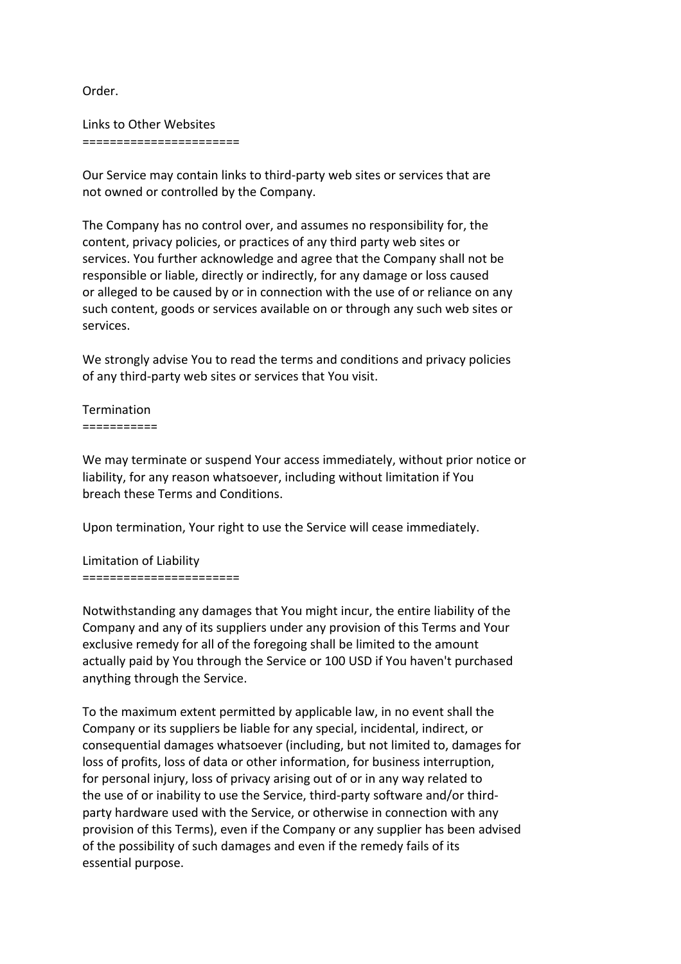Order.

Links to Other Websites =======================

Our Service may contain links to third-party web sites or services that are not owned or controlled by the Company.

The Company has no control over, and assumes no responsibility for, the content, privacy policies, or practices of any third party web sites or services. You further acknowledge and agree that the Company shall not be responsible or liable, directly or indirectly, for any damage or loss caused or alleged to be caused by or in connection with the use of or reliance on any such content, goods or services available on or through any such web sites or services.

We strongly advise You to read the terms and conditions and privacy policies of any third-party web sites or services that You visit.

Termination ===========

We may terminate or suspend Your access immediately, without prior notice or liability, for any reason whatsoever, including without limitation if You breach these Terms and Conditions.

Upon termination, Your right to use the Service will cease immediately.

Limitation of Liability =======================

Notwithstanding any damages that You might incur, the entire liability of the Company and any of its suppliers under any provision of this Terms and Your exclusive remedy for all of the foregoing shall be limited to the amount actually paid by You through the Service or 100 USD if You haven't purchased anything through the Service.

To the maximum extent permitted by applicable law, in no event shall the Company or its suppliers be liable for any special, incidental, indirect, or consequential damages whatsoever (including, but not limited to, damages for loss of profits, loss of data or other information, for business interruption, for personal injury, loss of privacy arising out of or in any way related to the use of or inability to use the Service, third-party software and/or thirdparty hardware used with the Service, or otherwise in connection with any provision of this Terms), even if the Company or any supplier has been advised of the possibility of such damages and even if the remedy fails of its essential purpose.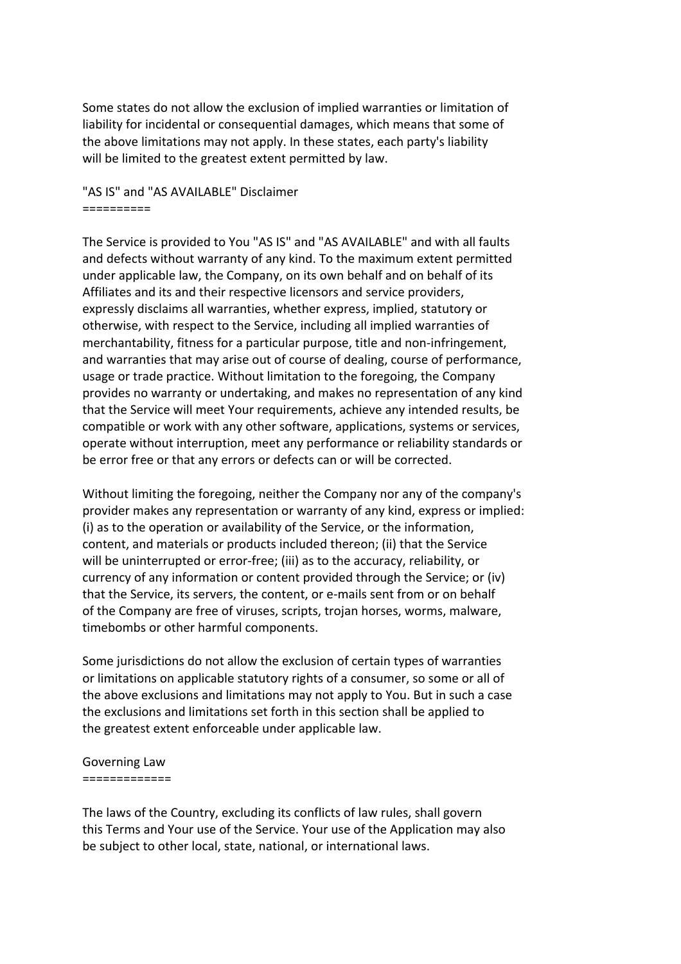Some states do not allow the exclusion of implied warranties or limitation of liability for incidental or consequential damages, which means that some of the above limitations may not apply. In these states, each party's liability will be limited to the greatest extent permitted by law.

"AS IS" and "AS AVAILABLE" Disclaimer ==========

The Service is provided to You "AS IS" and "AS AVAILABLE" and with all faults and defects without warranty of any kind. To the maximum extent permitted under applicable law, the Company, on its own behalf and on behalf of its Affiliates and its and their respective licensors and service providers, expressly disclaims all warranties, whether express, implied, statutory or otherwise, with respect to the Service, including all implied warranties of merchantability, fitness for a particular purpose, title and non-infringement, and warranties that may arise out of course of dealing, course of performance, usage or trade practice. Without limitation to the foregoing, the Company provides no warranty or undertaking, and makes no representation of any kind that the Service will meet Your requirements, achieve any intended results, be compatible or work with any other software, applications, systems or services, operate without interruption, meet any performance or reliability standards or be error free or that any errors or defects can or will be corrected.

Without limiting the foregoing, neither the Company nor any of the company's provider makes any representation or warranty of any kind, express or implied: (i) as to the operation or availability of the Service, or the information, content, and materials or products included thereon; (ii) that the Service will be uninterrupted or error-free; (iii) as to the accuracy, reliability, or currency of any information or content provided through the Service; or (iv) that the Service, its servers, the content, or e-mails sent from or on behalf of the Company are free of viruses, scripts, trojan horses, worms, malware, timebombs or other harmful components.

Some jurisdictions do not allow the exclusion of certain types of warranties or limitations on applicable statutory rights of a consumer, so some or all of the above exclusions and limitations may not apply to You. But in such a case the exclusions and limitations set forth in this section shall be applied to the greatest extent enforceable under applicable law.

## Governing Law =============

The laws of the Country, excluding its conflicts of law rules, shall govern this Terms and Your use of the Service. Your use of the Application may also be subject to other local, state, national, or international laws.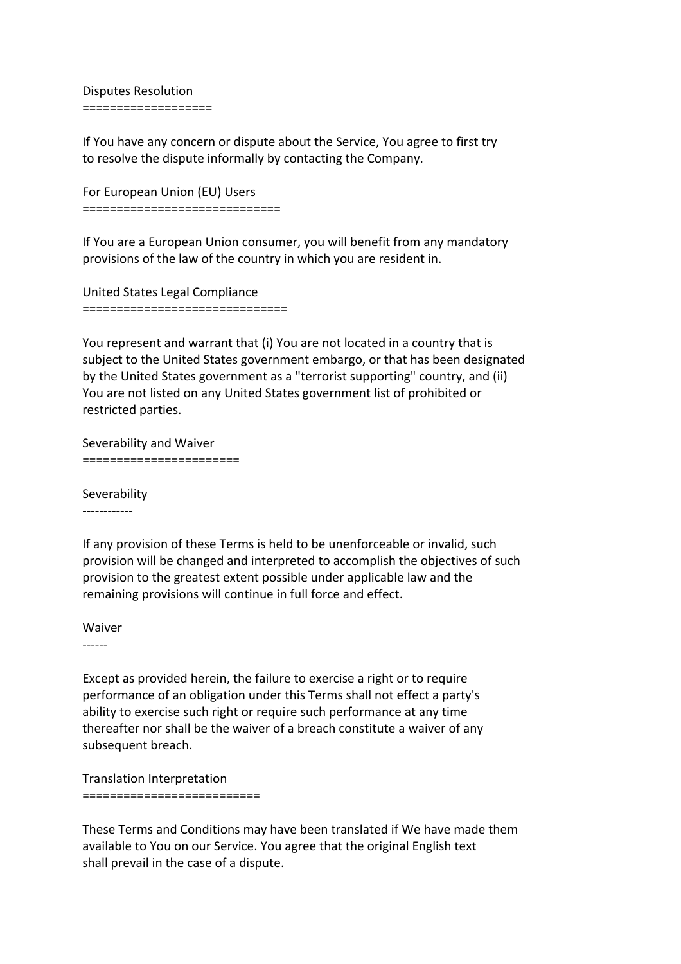Disputes Resolution ===================

If You have any concern or dispute about the Service, You agree to first try to resolve the dispute informally by contacting the Company.

For European Union (EU) Users =============================

If You are a European Union consumer, you will benefit from any mandatory provisions of the law of the country in which you are resident in.

United States Legal Compliance ==============================

You represent and warrant that (i) You are not located in a country that is subject to the United States government embargo, or that has been designated by the United States government as a "terrorist supporting" country, and (ii) You are not listed on any United States government list of prohibited or restricted parties.

Severability and Waiver =======================

Severability ------------

If any provision of these Terms is held to be unenforceable or invalid, such provision will be changed and interpreted to accomplish the objectives of such provision to the greatest extent possible under applicable law and the remaining provisions will continue in full force and effect.

Waiver

------

Except as provided herein, the failure to exercise a right or to require performance of an obligation under this Terms shall not effect a party's ability to exercise such right or require such performance at any time thereafter nor shall be the waiver of a breach constitute a waiver of any subsequent breach.

Translation Interpretation ==========================

These Terms and Conditions may have been translated if We have made them available to You on our Service. You agree that the original English text shall prevail in the case of a dispute.